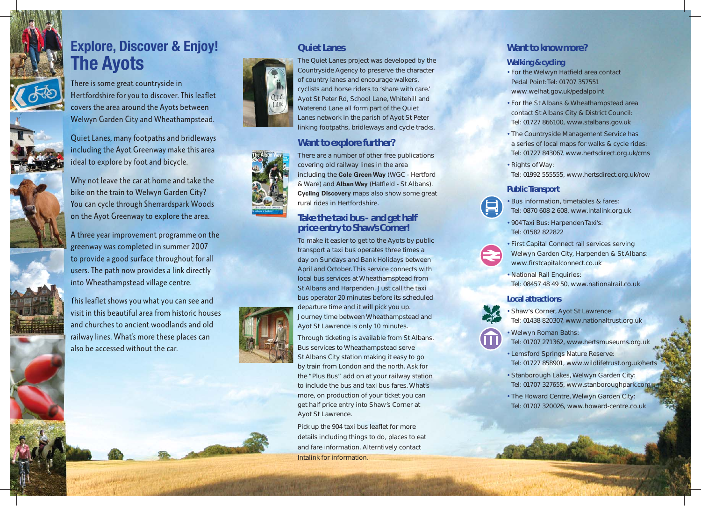

# **Explore, Discover & Enjoy!** Explore, Disc<br>**The Ayots**

There is some great countryside in Hertfordshire for you to discover. This leaflet covers the area around the Ayots between Welwyn Garden City and Wheathampstead.

Quiet Lanes, many footpaths and bridleways including the Ayot Greenway make this area ideal to explore by foot and bicycle.

Why not leave the car at home and take the bike on the train to Welwyn Garden City? You can cycle through Sherrardspark Woods on the Ayot Greenway to explore the area.

A three year improvement programme on the greenway was completed in summer 2007 to provide a good surface throughout for all users. The path now provides a link directly into Wheathampstead village centre. The COWQing<br>Qingid Whilyo<br>Agrupus<br>Agrupus<br>Thous<br>an raids

This leaflet shows you what you can see and visit in this beautiful area from historic houses and churches to ancient woodlands and old railway lines. What's more these places can also be accessed without the car.





cyclists and horse riders to 'share with care.' Ayot St Peter Rd, School Lane, Whitehill and Waterend Lane all form part of the Quiet Lanes network in the parish of Ayot St Peter linking footpaths, bridleways and cycle tracks. **Want to explore further?** There are a number of other free publications

The Quiet Lanes project was developed by the

**Quiet Lanes**

covering old railway lines in the area including the **Cole Green Way** (WGC - Hertford & Ware) and **Alban Way** (Hatfield - St Albans). **Cycling Discovery** maps also show some great rural rides in Hertfordshire.

### **Take the taxi bus - and get half price entry to Shaw's Corner!**

To make it easier to get to the Ayots by public transport a taxi bus operates three times a day on Sundays and Bank Holidays between April and October. This service connects with local bus services at Wheathamsptead from St Albans and Harpenden. Just call the taxi bus operator 20 minutes before its scheduled departure time and it will pick you up.

Journey time between Wheathampstead and Ayot St Lawrence is only 10 minutes.

Through ticketing is available from St Albans. Bus services to Wheathampstead serve St Albans City station making it easy to go by train from London and the north. Ask for the "Plus Bus" add on at your railway station to include the bus and taxi bus fares. What's more, on production of your ticket you can get half price entry into Shaw's Corner at Ayot St Lawrence.

Pick up the 904 taxi bus leaflet for more *details including things to do, places to eat and fare information. Alterntively contact Intalink for information.*

## **Want to know more?**

#### **Walking & cycling**

- For the Welwyn Hatfield area contact Pedal Point: Tel: 01707 357551 www.welhat.gov.uk/pedalpoint
- For the St Albans & Wheathampstead area contact St Albans City & District Council: Tel: 01727 866100, www.stalbans.gov.uk
- The Countryside Management Service has a series of local maps for walks & cycle rides:
- Tel: 01727 843067, www.hertsdirect.org.uk/cms<br>• Rights of Way: Tel: 01992 555555, www.hertsdirect.org.uk/row

#### **Public Transport**



- Bus information, timetables & fares: Tel: 0870 608 2 608, www.intalink.org.uk
- 904 Taxi Bus: Harpenden Taxi's: Tel: 01582 822822



• First Capital Connect rail services serving Welwyn Garden City, Harpenden & St Albans: www.firstcapitalconnect.co.uk

• National Rail Enquiries: Tel: 08457 48 49 50, www.nationalrail.co.uk

#### **Local attractions**



• Shaw's Corner, Ayot St Lawrence: Tel: 01438 820307, www.nationaltrust.org.uk

- Welwyn Roman Baths: Tel: 01707 271362, www.hertsmuseums.org.uk
- Lemsford Springs Nature Reserve: Tel: 01727 858901, www.wildlifetrust.org.uk/herts • Stanborough Lakes, Welwyn Garden City:
- Tel: 01707 327655, www.stanboroughpark.com
- The Howard Centre, Welwyn Garden City: Tel: 01707 320026, www.howard-centre.co.uk